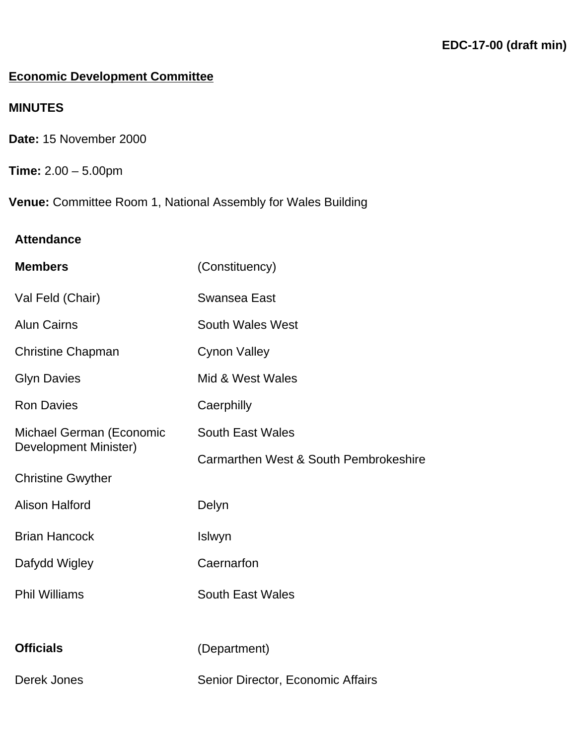# **Economic Development Committee**

# **MINUTES**

- **Date:** 15 November 2000
- **Time:** 2.00 5.00pm

**Venue:** Committee Room 1, National Assembly for Wales Building

# **Attendance**

| <b>Members</b>                                    | (Constituency)                        |
|---------------------------------------------------|---------------------------------------|
| Val Feld (Chair)                                  | <b>Swansea East</b>                   |
| <b>Alun Cairns</b>                                | <b>South Wales West</b>               |
| <b>Christine Chapman</b>                          | <b>Cynon Valley</b>                   |
| <b>Glyn Davies</b>                                | Mid & West Wales                      |
| <b>Ron Davies</b>                                 | Caerphilly                            |
| Michael German (Economic<br>Development Minister) | South East Wales                      |
|                                                   | Carmarthen West & South Pembrokeshire |
| <b>Christine Gwyther</b>                          |                                       |
| <b>Alison Halford</b>                             | Delyn                                 |
| <b>Brian Hancock</b>                              | Islwyn                                |
| Dafydd Wigley                                     | Caernarfon                            |
| <b>Phil Williams</b>                              | <b>South East Wales</b>               |
|                                                   |                                       |
| <b>Officials</b>                                  | (Department)                          |
| <b>Derek Jones</b>                                | Senior Director, Economic Affairs     |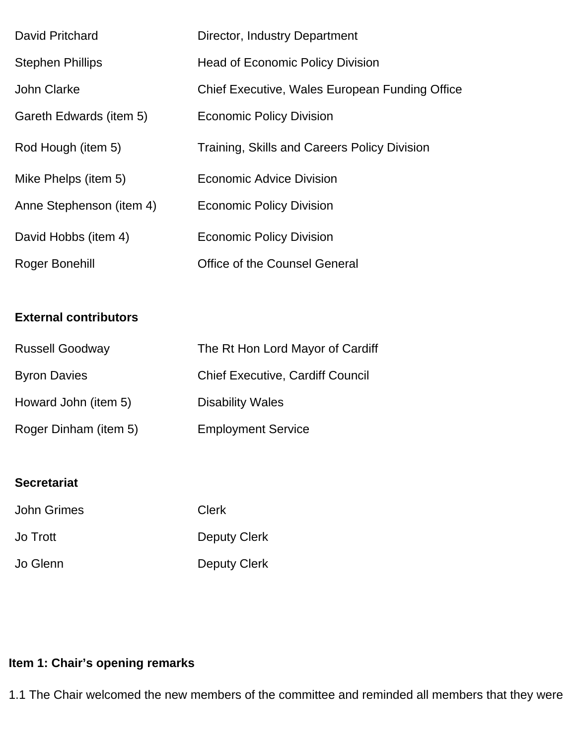| David Pritchard          | Director, Industry Department                  |
|--------------------------|------------------------------------------------|
| <b>Stephen Phillips</b>  | <b>Head of Economic Policy Division</b>        |
| <b>John Clarke</b>       | Chief Executive, Wales European Funding Office |
| Gareth Edwards (item 5)  | <b>Economic Policy Division</b>                |
| Rod Hough (item 5)       | Training, Skills and Careers Policy Division   |
| Mike Phelps (item 5)     | Economic Advice Division                       |
| Anne Stephenson (item 4) | <b>Economic Policy Division</b>                |
| David Hobbs (item 4)     | <b>Economic Policy Division</b>                |
| Roger Bonehill           | <b>Office of the Counsel General</b>           |

### **External contributors**

| <b>Russell Goodway</b> | The Rt Hon Lord Mayor of Cardiff        |
|------------------------|-----------------------------------------|
| <b>Byron Davies</b>    | <b>Chief Executive, Cardiff Council</b> |
| Howard John (item 5)   | <b>Disability Wales</b>                 |
| Roger Dinham (item 5)  | <b>Employment Service</b>               |

# **Secretariat**

| <b>John Grimes</b> | <b>Clerk</b> |
|--------------------|--------------|
| Jo Trott           | Deputy Clerk |
| Jo Glenn           | Deputy Clerk |

# **Item 1: Chair's opening remarks**

1.1 The Chair welcomed the new members of the committee and reminded all members that they were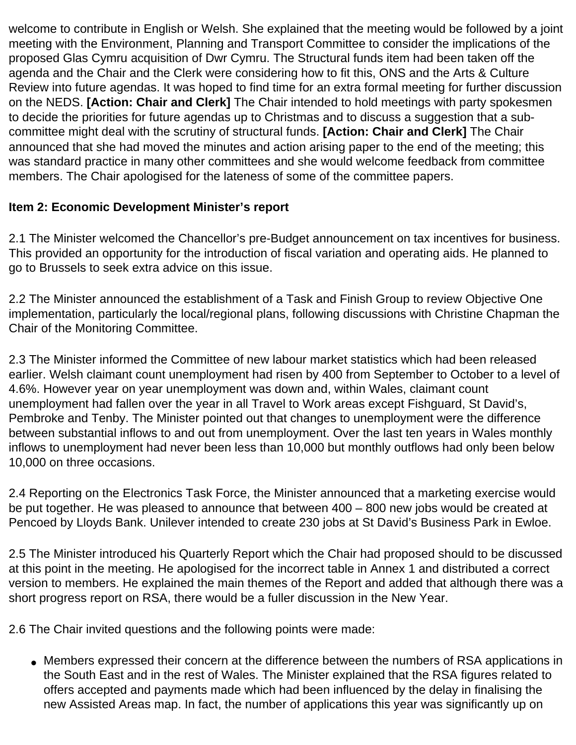welcome to contribute in English or Welsh. She explained that the meeting would be followed by a joint meeting with the Environment, Planning and Transport Committee to consider the implications of the proposed Glas Cymru acquisition of Dwr Cymru. The Structural funds item had been taken off the agenda and the Chair and the Clerk were considering how to fit this, ONS and the Arts & Culture Review into future agendas. It was hoped to find time for an extra formal meeting for further discussion on the NEDS. **[Action: Chair and Clerk]** The Chair intended to hold meetings with party spokesmen to decide the priorities for future agendas up to Christmas and to discuss a suggestion that a subcommittee might deal with the scrutiny of structural funds. **[Action: Chair and Clerk]** The Chair announced that she had moved the minutes and action arising paper to the end of the meeting; this was standard practice in many other committees and she would welcome feedback from committee members. The Chair apologised for the lateness of some of the committee papers.

## **Item 2: Economic Development Minister's report**

2.1 The Minister welcomed the Chancellor's pre-Budget announcement on tax incentives for business. This provided an opportunity for the introduction of fiscal variation and operating aids. He planned to go to Brussels to seek extra advice on this issue.

2.2 The Minister announced the establishment of a Task and Finish Group to review Objective One implementation, particularly the local/regional plans, following discussions with Christine Chapman the Chair of the Monitoring Committee.

2.3 The Minister informed the Committee of new labour market statistics which had been released earlier. Welsh claimant count unemployment had risen by 400 from September to October to a level of 4.6%. However year on year unemployment was down and, within Wales, claimant count unemployment had fallen over the year in all Travel to Work areas except Fishguard, St David's, Pembroke and Tenby. The Minister pointed out that changes to unemployment were the difference between substantial inflows to and out from unemployment. Over the last ten years in Wales monthly inflows to unemployment had never been less than 10,000 but monthly outflows had only been below 10,000 on three occasions.

2.4 Reporting on the Electronics Task Force, the Minister announced that a marketing exercise would be put together. He was pleased to announce that between 400 – 800 new jobs would be created at Pencoed by Lloyds Bank. Unilever intended to create 230 jobs at St David's Business Park in Ewloe.

2.5 The Minister introduced his Quarterly Report which the Chair had proposed should to be discussed at this point in the meeting. He apologised for the incorrect table in Annex 1 and distributed a correct version to members. He explained the main themes of the Report and added that although there was a short progress report on RSA, there would be a fuller discussion in the New Year.

2.6 The Chair invited questions and the following points were made:

• Members expressed their concern at the difference between the numbers of RSA applications in the South East and in the rest of Wales. The Minister explained that the RSA figures related to offers accepted and payments made which had been influenced by the delay in finalising the new Assisted Areas map. In fact, the number of applications this year was significantly up on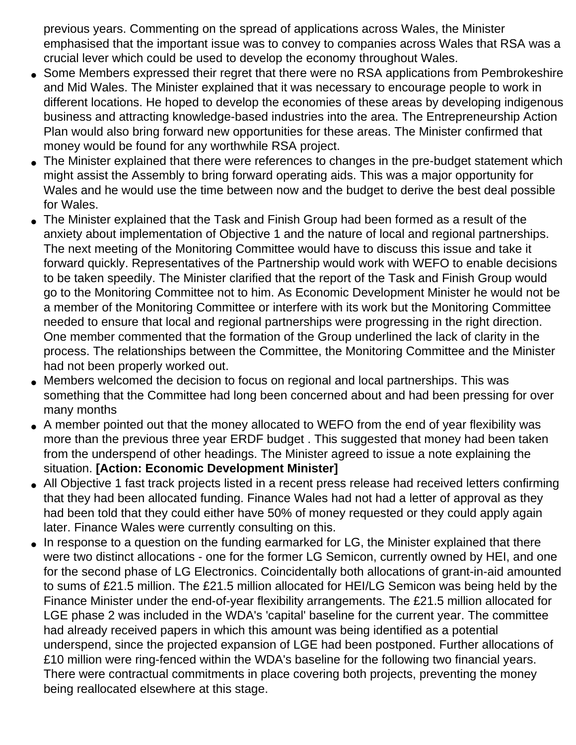previous years. Commenting on the spread of applications across Wales, the Minister emphasised that the important issue was to convey to companies across Wales that RSA was a crucial lever which could be used to develop the economy throughout Wales.

- Some Members expressed their regret that there were no RSA applications from Pembrokeshire and Mid Wales. The Minister explained that it was necessary to encourage people to work in different locations. He hoped to develop the economies of these areas by developing indigenous business and attracting knowledge-based industries into the area. The Entrepreneurship Action Plan would also bring forward new opportunities for these areas. The Minister confirmed that money would be found for any worthwhile RSA project.
- The Minister explained that there were references to changes in the pre-budget statement which might assist the Assembly to bring forward operating aids. This was a major opportunity for Wales and he would use the time between now and the budget to derive the best deal possible for Wales.
- The Minister explained that the Task and Finish Group had been formed as a result of the anxiety about implementation of Objective 1 and the nature of local and regional partnerships. The next meeting of the Monitoring Committee would have to discuss this issue and take it forward quickly. Representatives of the Partnership would work with WEFO to enable decisions to be taken speedily. The Minister clarified that the report of the Task and Finish Group would go to the Monitoring Committee not to him. As Economic Development Minister he would not be a member of the Monitoring Committee or interfere with its work but the Monitoring Committee needed to ensure that local and regional partnerships were progressing in the right direction. One member commented that the formation of the Group underlined the lack of clarity in the process. The relationships between the Committee, the Monitoring Committee and the Minister had not been properly worked out.
- Members welcomed the decision to focus on regional and local partnerships. This was something that the Committee had long been concerned about and had been pressing for over many months
- A member pointed out that the money allocated to WEFO from the end of year flexibility was more than the previous three year ERDF budget . This suggested that money had been taken from the underspend of other headings. The Minister agreed to issue a note explaining the situation. **[Action: Economic Development Minister]**
- All Objective 1 fast track projects listed in a recent press release had received letters confirming that they had been allocated funding. Finance Wales had not had a letter of approval as they had been told that they could either have 50% of money requested or they could apply again later. Finance Wales were currently consulting on this.
- In response to a question on the funding earmarked for LG, the Minister explained that there were two distinct allocations - one for the former LG Semicon, currently owned by HEI, and one for the second phase of LG Electronics. Coincidentally both allocations of grant-in-aid amounted to sums of £21.5 million. The £21.5 million allocated for HEI/LG Semicon was being held by the Finance Minister under the end-of-year flexibility arrangements. The £21.5 million allocated for LGE phase 2 was included in the WDA's 'capital' baseline for the current year. The committee had already received papers in which this amount was being identified as a potential underspend, since the projected expansion of LGE had been postponed. Further allocations of £10 million were ring-fenced within the WDA's baseline for the following two financial years. There were contractual commitments in place covering both projects, preventing the money being reallocated elsewhere at this stage.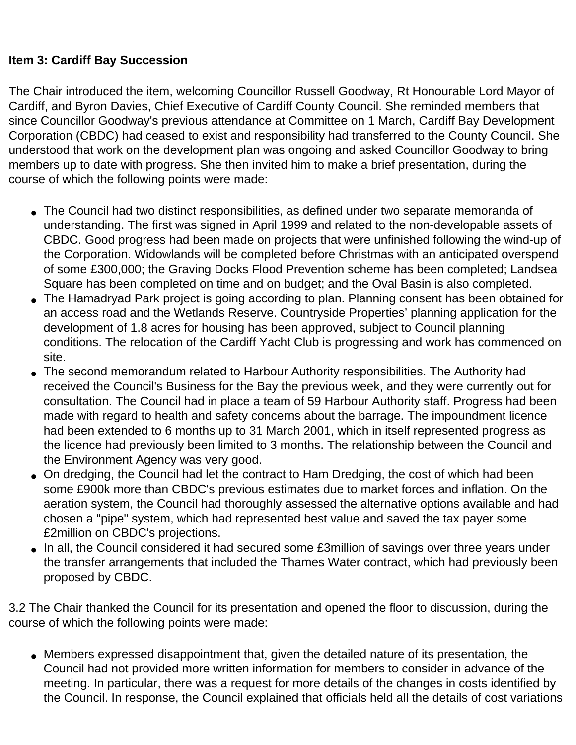#### **Item 3: Cardiff Bay Succession**

The Chair introduced the item, welcoming Councillor Russell Goodway, Rt Honourable Lord Mayor of Cardiff, and Byron Davies, Chief Executive of Cardiff County Council. She reminded members that since Councillor Goodway's previous attendance at Committee on 1 March, Cardiff Bay Development Corporation (CBDC) had ceased to exist and responsibility had transferred to the County Council. She understood that work on the development plan was ongoing and asked Councillor Goodway to bring members up to date with progress. She then invited him to make a brief presentation, during the course of which the following points were made:

- The Council had two distinct responsibilities, as defined under two separate memoranda of understanding. The first was signed in April 1999 and related to the non-developable assets of CBDC. Good progress had been made on projects that were unfinished following the wind-up of the Corporation. Widowlands will be completed before Christmas with an anticipated overspend of some £300,000; the Graving Docks Flood Prevention scheme has been completed; Landsea Square has been completed on time and on budget; and the Oval Basin is also completed.
- The Hamadryad Park project is going according to plan. Planning consent has been obtained for an access road and the Wetlands Reserve. Countryside Properties' planning application for the development of 1.8 acres for housing has been approved, subject to Council planning conditions. The relocation of the Cardiff Yacht Club is progressing and work has commenced on site.
- The second memorandum related to Harbour Authority responsibilities. The Authority had received the Council's Business for the Bay the previous week, and they were currently out for consultation. The Council had in place a team of 59 Harbour Authority staff. Progress had been made with regard to health and safety concerns about the barrage. The impoundment licence had been extended to 6 months up to 31 March 2001, which in itself represented progress as the licence had previously been limited to 3 months. The relationship between the Council and the Environment Agency was very good.
- On dredging, the Council had let the contract to Ham Dredging, the cost of which had been some £900k more than CBDC's previous estimates due to market forces and inflation. On the aeration system, the Council had thoroughly assessed the alternative options available and had chosen a "pipe" system, which had represented best value and saved the tax payer some £2million on CBDC's projections.
- In all, the Council considered it had secured some £3million of savings over three years under the transfer arrangements that included the Thames Water contract, which had previously been proposed by CBDC.

3.2 The Chair thanked the Council for its presentation and opened the floor to discussion, during the course of which the following points were made:

• Members expressed disappointment that, given the detailed nature of its presentation, the Council had not provided more written information for members to consider in advance of the meeting. In particular, there was a request for more details of the changes in costs identified by the Council. In response, the Council explained that officials held all the details of cost variations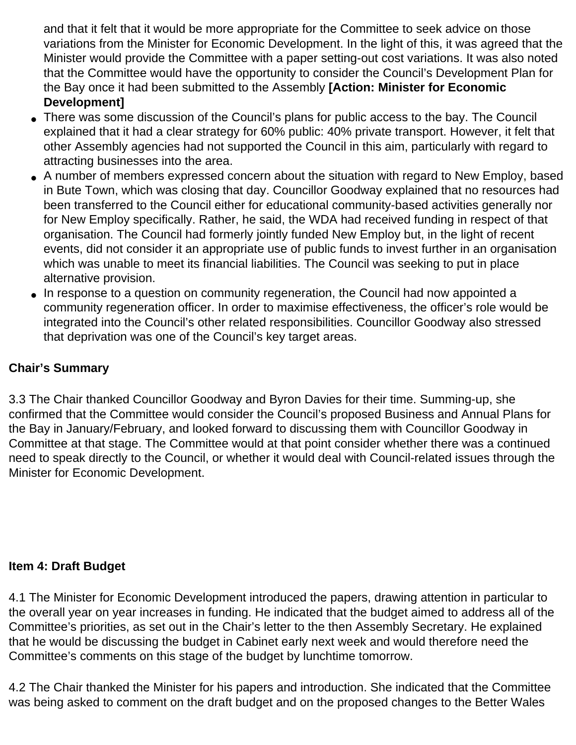and that it felt that it would be more appropriate for the Committee to seek advice on those variations from the Minister for Economic Development. In the light of this, it was agreed that the Minister would provide the Committee with a paper setting-out cost variations. It was also noted that the Committee would have the opportunity to consider the Council's Development Plan for the Bay once it had been submitted to the Assembly **[Action: Minister for Economic Development]**

- There was some discussion of the Council's plans for public access to the bay. The Council explained that it had a clear strategy for 60% public: 40% private transport. However, it felt that other Assembly agencies had not supported the Council in this aim, particularly with regard to attracting businesses into the area.
- A number of members expressed concern about the situation with regard to New Employ, based in Bute Town, which was closing that day. Councillor Goodway explained that no resources had been transferred to the Council either for educational community-based activities generally nor for New Employ specifically. Rather, he said, the WDA had received funding in respect of that organisation. The Council had formerly jointly funded New Employ but, in the light of recent events, did not consider it an appropriate use of public funds to invest further in an organisation which was unable to meet its financial liabilities. The Council was seeking to put in place alternative provision.
- In response to a question on community regeneration, the Council had now appointed a community regeneration officer. In order to maximise effectiveness, the officer's role would be integrated into the Council's other related responsibilities. Councillor Goodway also stressed that deprivation was one of the Council's key target areas.

## **Chair's Summary**

3.3 The Chair thanked Councillor Goodway and Byron Davies for their time. Summing-up, she confirmed that the Committee would consider the Council's proposed Business and Annual Plans for the Bay in January/February, and looked forward to discussing them with Councillor Goodway in Committee at that stage. The Committee would at that point consider whether there was a continued need to speak directly to the Council, or whether it would deal with Council-related issues through the Minister for Economic Development.

## **Item 4: Draft Budget**

4.1 The Minister for Economic Development introduced the papers, drawing attention in particular to the overall year on year increases in funding. He indicated that the budget aimed to address all of the Committee's priorities, as set out in the Chair's letter to the then Assembly Secretary. He explained that he would be discussing the budget in Cabinet early next week and would therefore need the Committee's comments on this stage of the budget by lunchtime tomorrow.

4.2 The Chair thanked the Minister for his papers and introduction. She indicated that the Committee was being asked to comment on the draft budget and on the proposed changes to the Better Wales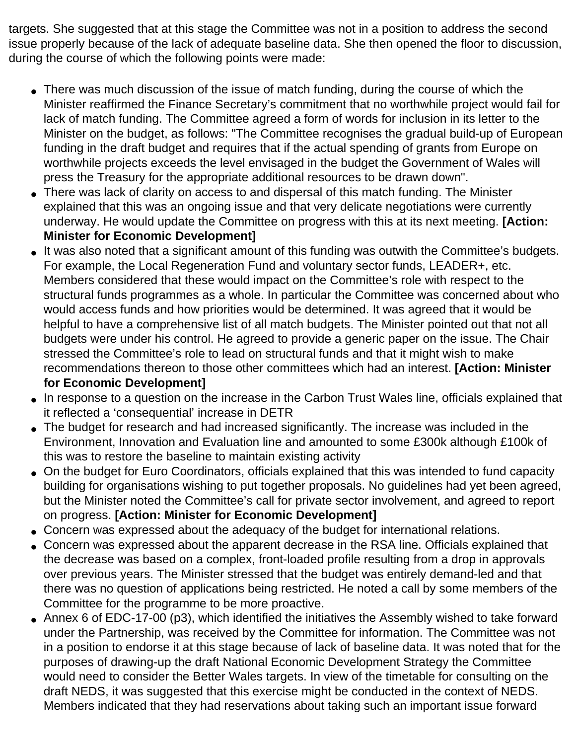targets. She suggested that at this stage the Committee was not in a position to address the second issue properly because of the lack of adequate baseline data. She then opened the floor to discussion, during the course of which the following points were made:

- There was much discussion of the issue of match funding, during the course of which the Minister reaffirmed the Finance Secretary's commitment that no worthwhile project would fail for lack of match funding. The Committee agreed a form of words for inclusion in its letter to the Minister on the budget, as follows: "The Committee recognises the gradual build-up of European funding in the draft budget and requires that if the actual spending of grants from Europe on worthwhile projects exceeds the level envisaged in the budget the Government of Wales will press the Treasury for the appropriate additional resources to be drawn down".
- There was lack of clarity on access to and dispersal of this match funding. The Minister explained that this was an ongoing issue and that very delicate negotiations were currently underway. He would update the Committee on progress with this at its next meeting. **[Action: Minister for Economic Development]**
- It was also noted that a significant amount of this funding was outwith the Committee's budgets. For example, the Local Regeneration Fund and voluntary sector funds, LEADER+, etc. Members considered that these would impact on the Committee's role with respect to the structural funds programmes as a whole. In particular the Committee was concerned about who would access funds and how priorities would be determined. It was agreed that it would be helpful to have a comprehensive list of all match budgets. The Minister pointed out that not all budgets were under his control. He agreed to provide a generic paper on the issue. The Chair stressed the Committee's role to lead on structural funds and that it might wish to make recommendations thereon to those other committees which had an interest. **[Action: Minister for Economic Development]**
- In response to a question on the increase in the Carbon Trust Wales line, officials explained that it reflected a 'consequential' increase in DETR
- The budget for research and had increased significantly. The increase was included in the Environment, Innovation and Evaluation line and amounted to some £300k although £100k of this was to restore the baseline to maintain existing activity
- On the budget for Euro Coordinators, officials explained that this was intended to fund capacity building for organisations wishing to put together proposals. No guidelines had yet been agreed, but the Minister noted the Committee's call for private sector involvement, and agreed to report on progress. **[Action: Minister for Economic Development]**
- Concern was expressed about the adequacy of the budget for international relations.
- Concern was expressed about the apparent decrease in the RSA line. Officials explained that the decrease was based on a complex, front-loaded profile resulting from a drop in approvals over previous years. The Minister stressed that the budget was entirely demand-led and that there was no question of applications being restricted. He noted a call by some members of the Committee for the programme to be more proactive.
- Annex 6 of EDC-17-00 (p3), which identified the initiatives the Assembly wished to take forward under the Partnership, was received by the Committee for information. The Committee was not in a position to endorse it at this stage because of lack of baseline data. It was noted that for the purposes of drawing-up the draft National Economic Development Strategy the Committee would need to consider the Better Wales targets. In view of the timetable for consulting on the draft NEDS, it was suggested that this exercise might be conducted in the context of NEDS. Members indicated that they had reservations about taking such an important issue forward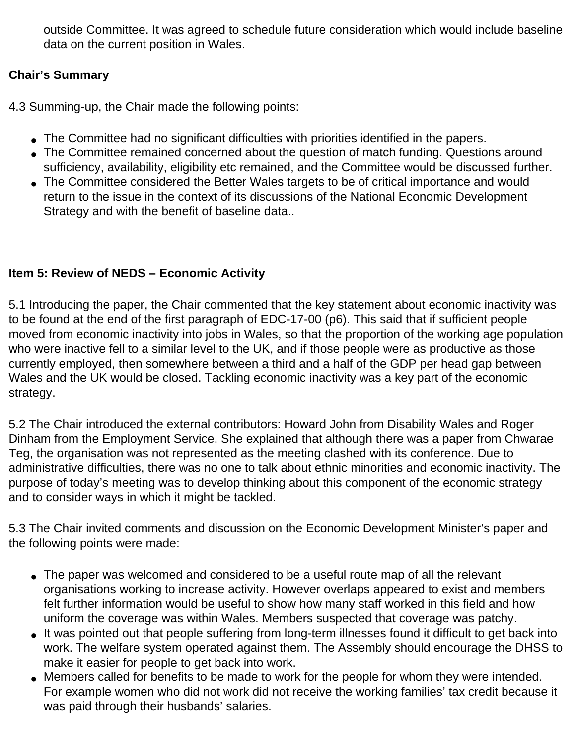outside Committee. It was agreed to schedule future consideration which would include baseline data on the current position in Wales.

## **Chair's Summary**

4.3 Summing-up, the Chair made the following points:

- The Committee had no significant difficulties with priorities identified in the papers.
- The Committee remained concerned about the question of match funding. Questions around sufficiency, availability, eligibility etc remained, and the Committee would be discussed further.
- The Committee considered the Better Wales targets to be of critical importance and would return to the issue in the context of its discussions of the National Economic Development Strategy and with the benefit of baseline data..

## **Item 5: Review of NEDS – Economic Activity**

5.1 Introducing the paper, the Chair commented that the key statement about economic inactivity was to be found at the end of the first paragraph of EDC-17-00 (p6). This said that if sufficient people moved from economic inactivity into jobs in Wales, so that the proportion of the working age population who were inactive fell to a similar level to the UK, and if those people were as productive as those currently employed, then somewhere between a third and a half of the GDP per head gap between Wales and the UK would be closed. Tackling economic inactivity was a key part of the economic strategy.

5.2 The Chair introduced the external contributors: Howard John from Disability Wales and Roger Dinham from the Employment Service. She explained that although there was a paper from Chwarae Teg, the organisation was not represented as the meeting clashed with its conference. Due to administrative difficulties, there was no one to talk about ethnic minorities and economic inactivity. The purpose of today's meeting was to develop thinking about this component of the economic strategy and to consider ways in which it might be tackled.

5.3 The Chair invited comments and discussion on the Economic Development Minister's paper and the following points were made:

- The paper was welcomed and considered to be a useful route map of all the relevant organisations working to increase activity. However overlaps appeared to exist and members felt further information would be useful to show how many staff worked in this field and how uniform the coverage was within Wales. Members suspected that coverage was patchy.
- It was pointed out that people suffering from long-term illnesses found it difficult to get back into work. The welfare system operated against them. The Assembly should encourage the DHSS to make it easier for people to get back into work.
- Members called for benefits to be made to work for the people for whom they were intended. For example women who did not work did not receive the working families' tax credit because it was paid through their husbands' salaries.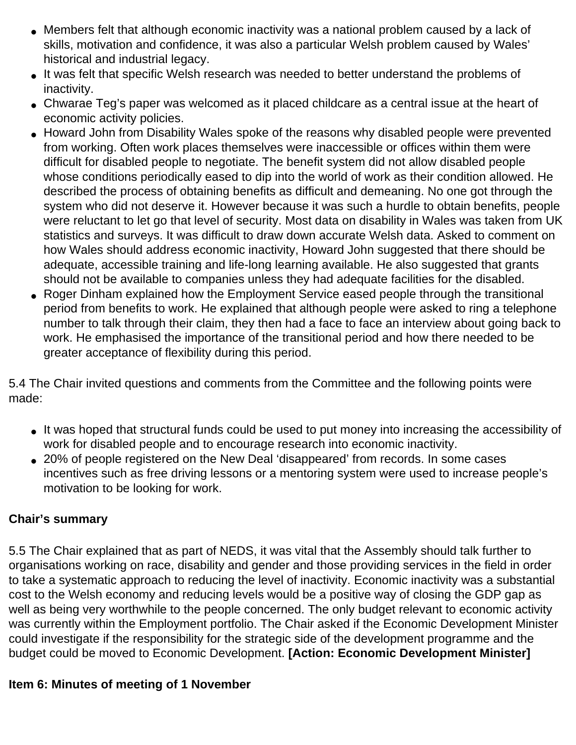- Members felt that although economic inactivity was a national problem caused by a lack of skills, motivation and confidence, it was also a particular Welsh problem caused by Wales' historical and industrial legacy.
- It was felt that specific Welsh research was needed to better understand the problems of inactivity.
- Chwarae Teg's paper was welcomed as it placed childcare as a central issue at the heart of economic activity policies.
- Howard John from Disability Wales spoke of the reasons why disabled people were prevented from working. Often work places themselves were inaccessible or offices within them were difficult for disabled people to negotiate. The benefit system did not allow disabled people whose conditions periodically eased to dip into the world of work as their condition allowed. He described the process of obtaining benefits as difficult and demeaning. No one got through the system who did not deserve it. However because it was such a hurdle to obtain benefits, people were reluctant to let go that level of security. Most data on disability in Wales was taken from UK statistics and surveys. It was difficult to draw down accurate Welsh data. Asked to comment on how Wales should address economic inactivity, Howard John suggested that there should be adequate, accessible training and life-long learning available. He also suggested that grants should not be available to companies unless they had adequate facilities for the disabled.
- Roger Dinham explained how the Employment Service eased people through the transitional period from benefits to work. He explained that although people were asked to ring a telephone number to talk through their claim, they then had a face to face an interview about going back to work. He emphasised the importance of the transitional period and how there needed to be greater acceptance of flexibility during this period.

5.4 The Chair invited questions and comments from the Committee and the following points were made:

- It was hoped that structural funds could be used to put money into increasing the accessibility of work for disabled people and to encourage research into economic inactivity.
- 20% of people registered on the New Deal 'disappeared' from records. In some cases incentives such as free driving lessons or a mentoring system were used to increase people's motivation to be looking for work.

### **Chair's summary**

5.5 The Chair explained that as part of NEDS, it was vital that the Assembly should talk further to organisations working on race, disability and gender and those providing services in the field in order to take a systematic approach to reducing the level of inactivity. Economic inactivity was a substantial cost to the Welsh economy and reducing levels would be a positive way of closing the GDP gap as well as being very worthwhile to the people concerned. The only budget relevant to economic activity was currently within the Employment portfolio. The Chair asked if the Economic Development Minister could investigate if the responsibility for the strategic side of the development programme and the budget could be moved to Economic Development. **[Action: Economic Development Minister]**

### **Item 6: Minutes of meeting of 1 November**